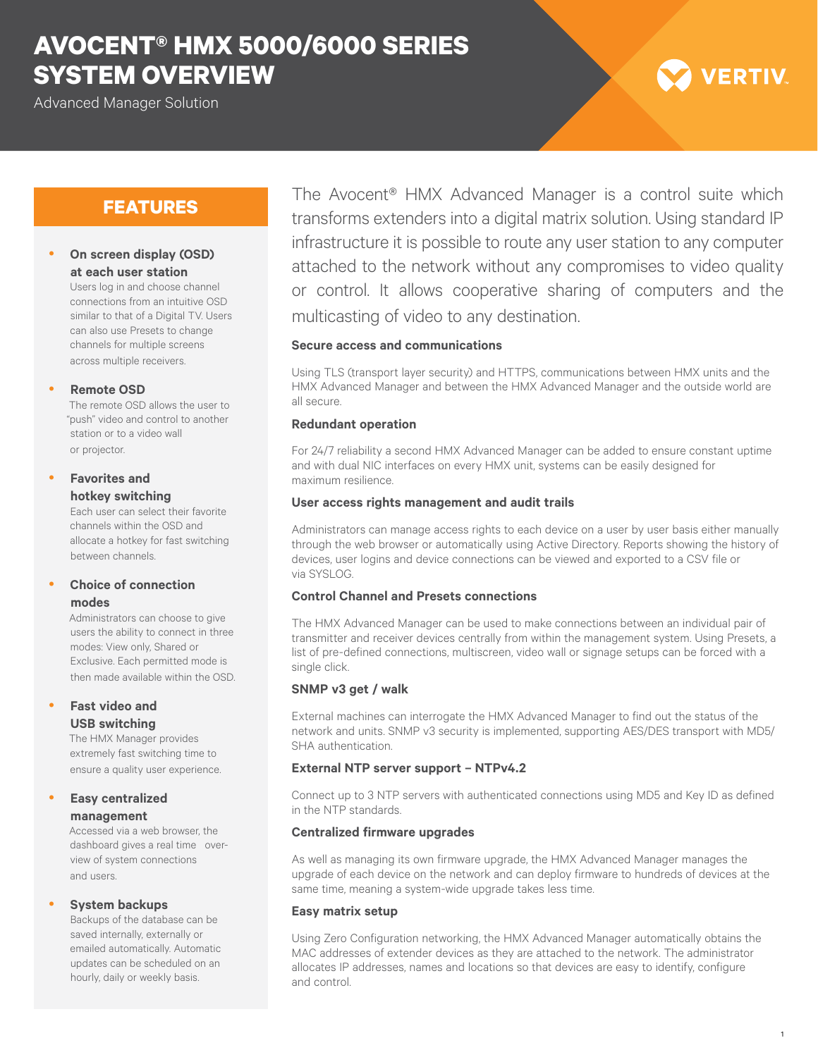## **AVOCENT® HMX 5000/6000 SERIES SYSTEM OVERVIEW**

Advanced Manager Solution

# **VERTIV**

## **FEATURES**

#### **On screen display (OSD) at each user station**

Users log in and choose channel connections from an intuitive OSD similar to that of a Digital TV. Users can also use Presets to change channels for multiple screens across multiple receivers.

#### **Remote OSD**

The remote OSD allows the user to "push" video and control to another station or to a video wall or projector.

#### **Favorites and hotkey switching**

Each user can select their favorite channels within the OSD and allocate a hotkey for fast switching between channels.

#### **Choice of connection modes**

Administrators can choose to give users the ability to connect in three modes: View only, Shared or Exclusive. Each permitted mode is then made available within the OSD.

#### **Fast video and USB switching**

The HMX Manager provides extremely fast switching time to ensure a quality user experience.

#### **Easy centralized management**

Accessed via a web browser, the dashboard gives a real time overview of system connections and users.

#### **System backups**

Backups of the database can be saved internally, externally or emailed automatically. Automatic updates can be scheduled on an hourly, daily or weekly basis.

The Avocent® HMX Advanced Manager is a control suite which transforms extenders into a digital matrix solution. Using standard IP infrastructure it is possible to route any user station to any computer attached to the network without any compromises to video quality or control. It allows cooperative sharing of computers and the multicasting of video to any destination.

#### **Secure access and communications**

Using TLS (transport layer security) and HTTPS, communications between HMX units and the HMX Advanced Manager and between the HMX Advanced Manager and the outside world are all secure.

#### **Redundant operation**

For 24/7 reliability a second HMX Advanced Manager can be added to ensure constant uptime and with dual NIC interfaces on every HMX unit, systems can be easily designed for maximum resilience.

#### **User access rights management and audit trails**

Administrators can manage access rights to each device on a user by user basis either manually through the web browser or automatically using Active Directory. Reports showing the history of devices, user logins and device connections can be viewed and exported to a CSV file or via SYSLOG.

#### **Control Channel and Presets connections**

The HMX Advanced Manager can be used to make connections between an individual pair of transmitter and receiver devices centrally from within the management system. Using Presets, a list of pre-defined connections, multiscreen, video wall or signage setups can be forced with a single click.

#### **SNMP v3 get / walk**

External machines can interrogate the HMX Advanced Manager to find out the status of the network and units. SNMP v3 security is implemented, supporting AES/DES transport with MD5/ SHA authentication.

#### **External NTP server support – NTPv4.2**

Connect up to 3 NTP servers with authenticated connections using MD5 and Key ID as defined in the NTP standards.

#### **Centralized firmware upgrades**

As well as managing its own firmware upgrade, the HMX Advanced Manager manages the upgrade of each device on the network and can deploy firmware to hundreds of devices at the same time, meaning a system-wide upgrade takes less time.

#### **Easy matrix setup**

Using Zero Configuration networking, the HMX Advanced Manager automatically obtains the MAC addresses of extender devices as they are attached to the network. The administrator allocates IP addresses, names and locations so that devices are easy to identify, configure and control.